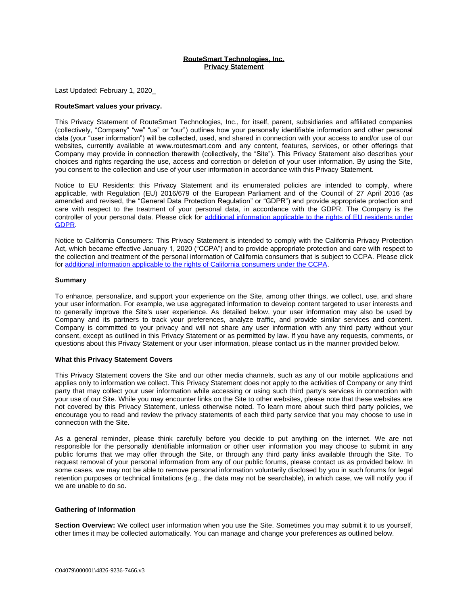### **RouteSmart Technologies, Inc. Privacy Statement**

#### Last Updated: February 1, 2020\_

### **RouteSmart values your privacy.**

This Privacy Statement of RouteSmart Technologies, Inc., for itself, parent, subsidiaries and affiliated companies (collectively, "Company" "we" "us" or "our") outlines how your personally identifiable information and other personal data (your "user information") will be collected, used, and shared in connection with your access to and/or use of our websites, currently available at www.routesmart.com and any content, features, services, or other offerings that Company may provide in connection therewith (collectively, the "Site"). This Privacy Statement also describes your choices and rights regarding the use, access and correction or deletion of your user information. By using the Site, you consent to the collection and use of your user information in accordance with this Privacy Statement.

Notice to EU Residents: this Privacy Statement and its enumerated policies are intended to comply, where applicable, with Regulation (EU) 2016/679 of the European Parliament and of the Council of 27 April 2016 (as amended and revised, the "General Data Protection Regulation" or "GDPR") and provide appropriate protection and care with respect to the treatment of your personal data, in accordance with the GDPR. The Company is the controller of your personal data. Please click for additional information applicable to the rights of EU residents under [GDPR.](https://www.routesmart.com/wp-content/uploads/2020/02/eu_residents_gdpr-02012020.pdf)

Notice to California Consumers: This Privacy Statement is intended to comply with the California Privacy Protection Act, which became effective January 1, 2020 ("CCPA") and to provide appropriate protection and care with respect to the collection and treatment of the personal information of California consumers that is subject to CCPA. Please click for [additional information applicable to the rights of California consumers under the CCPA.](https://www.routesmart.com/wp-content/uploads/2020/02/ccpa_privacy_statement-02012020.pdf)

#### **Summary**

To enhance, personalize, and support your experience on the Site, among other things, we collect, use, and share your user information. For example, we use aggregated information to develop content targeted to user interests and to generally improve the Site's user experience. As detailed below, your user information may also be used by Company and its partners to track your preferences, analyze traffic, and provide similar services and content. Company is committed to your privacy and will not share any user information with any third party without your consent, except as outlined in this Privacy Statement or as permitted by law. If you have any requests, comments, or questions about this Privacy Statement or your user information, please contact us in the manner provided below.

#### **What this Privacy Statement Covers**

This Privacy Statement covers the Site and our other media channels, such as any of our mobile applications and applies only to information we collect. This Privacy Statement does not apply to the activities of Company or any third party that may collect your user information while accessing or using such third party's services in connection with your use of our Site. While you may encounter links on the Site to other websites, please note that these websites are not covered by this Privacy Statement, unless otherwise noted. To learn more about such third party policies, we encourage you to read and review the privacy statements of each third party service that you may choose to use in connection with the Site.

As a general reminder, please think carefully before you decide to put anything on the internet. We are not responsible for the personally identifiable information or other user information you may choose to submit in any public forums that we may offer through the Site, or through any third party links available through the Site. To request removal of your personal information from any of our public forums, please contact us as provided below. In some cases, we may not be able to remove personal information voluntarily disclosed by you in such forums for legal retention purposes or technical limitations (e.g., the data may not be searchable), in which case, we will notify you if we are unable to do so.

#### **Gathering of Information**

**Section Overview:** We collect user information when you use the Site. Sometimes you may submit it to us yourself, other times it may be collected automatically. You can manage and change your preferences as outlined below.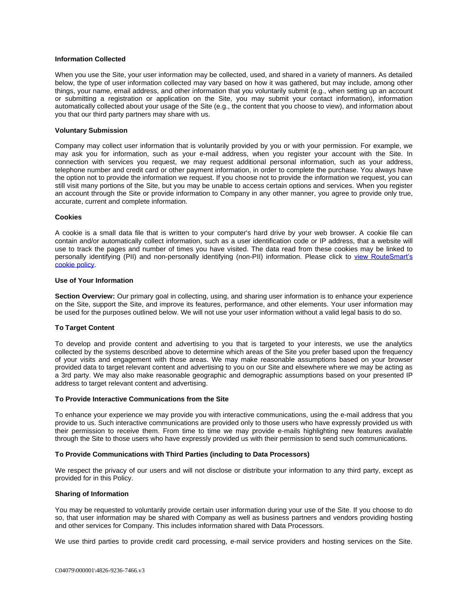### **Information Collected**

When you use the Site, your user information may be collected, used, and shared in a variety of manners. As detailed below, the type of user information collected may vary based on how it was gathered, but may include, among other things, your name, email address, and other information that you voluntarily submit (e.g., when setting up an account or submitting a registration or application on the Site, you may submit your contact information), information automatically collected about your usage of the Site (e.g., the content that you choose to view), and information about you that our third party partners may share with us.

## **Voluntary Submission**

Company may collect user information that is voluntarily provided by you or with your permission. For example, we may ask you for information, such as your e-mail address, when you register your account with the Site. In connection with services you request, we may request additional personal information, such as your address, telephone number and credit card or other payment information, in order to complete the purchase. You always have the option not to provide the information we request. If you choose not to provide the information we request, you can still visit many portions of the Site, but you may be unable to access certain options and services. When you register an account through the Site or provide information to Company in any other manner, you agree to provide only true, accurate, current and complete information.

#### **Cookies**

A cookie is a small data file that is written to your computer's hard drive by your web browser. A cookie file can contain and/or automatically collect information, such as a user identification code or IP address, that a website will use to track the pages and number of times you have visited. The data read from these cookies may be linked to personally identifying (PII) and non-personally identifying (non-PII) information. Please click to view RouteSmart's [cookie policy.](https://www.routesmart.com/wp-content/uploads/2020/02/cookies_policy-02012020.pdf)

#### **Use of Your Information**

**Section Overview:** Our primary goal in collecting, using, and sharing user information is to enhance your experience on the Site, support the Site, and improve its features, performance, and other elements. Your user information may be used for the purposes outlined below. We will not use your user information without a valid legal basis to do so.

# **To Target Content**

To develop and provide content and advertising to you that is targeted to your interests, we use the analytics collected by the systems described above to determine which areas of the Site you prefer based upon the frequency of your visits and engagement with those areas. We may make reasonable assumptions based on your browser provided data to target relevant content and advertising to you on our Site and elsewhere where we may be acting as a 3rd party. We may also make reasonable geographic and demographic assumptions based on your presented IP address to target relevant content and advertising.

#### **To Provide Interactive Communications from the Site**

To enhance your experience we may provide you with interactive communications, using the e-mail address that you provide to us. Such interactive communications are provided only to those users who have expressly provided us with their permission to receive them. From time to time we may provide e-mails highlighting new features available through the Site to those users who have expressly provided us with their permission to send such communications.

#### **To Provide Communications with Third Parties (including to Data Processors)**

We respect the privacy of our users and will not disclose or distribute your information to any third party, except as provided for in this Policy.

#### **Sharing of Information**

You may be requested to voluntarily provide certain user information during your use of the Site. If you choose to do so, that user information may be shared with Company as well as business partners and vendors providing hosting and other services for Company. This includes information shared with Data Processors.

We use third parties to provide credit card processing, e-mail service providers and hosting services on the Site.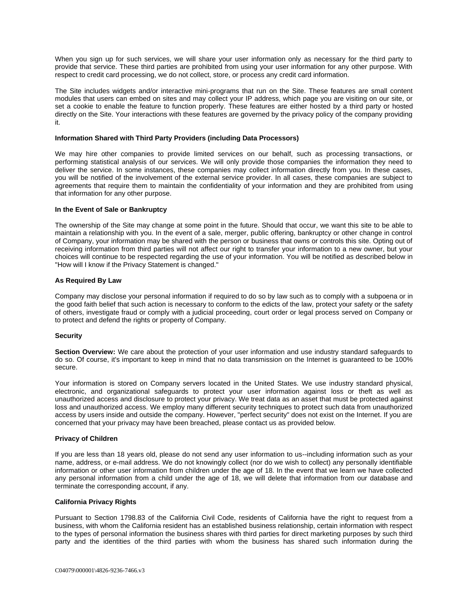When you sign up for such services, we will share your user information only as necessary for the third party to provide that service. These third parties are prohibited from using your user information for any other purpose. With respect to credit card processing, we do not collect, store, or process any credit card information.

The Site includes widgets and/or interactive mini-programs that run on the Site. These features are small content modules that users can embed on sites and may collect your IP address, which page you are visiting on our site, or set a cookie to enable the feature to function properly. These features are either hosted by a third party or hosted directly on the Site. Your interactions with these features are governed by the privacy policy of the company providing it.

# **Information Shared with Third Party Providers (including Data Processors)**

We may hire other companies to provide limited services on our behalf, such as processing transactions, or performing statistical analysis of our services. We will only provide those companies the information they need to deliver the service. In some instances, these companies may collect information directly from you. In these cases, you will be notified of the involvement of the external service provider. In all cases, these companies are subject to agreements that require them to maintain the confidentiality of your information and they are prohibited from using that information for any other purpose.

## **In the Event of Sale or Bankruptcy**

The ownership of the Site may change at some point in the future. Should that occur, we want this site to be able to maintain a relationship with you. In the event of a sale, merger, public offering, bankruptcy or other change in control of Company, your information may be shared with the person or business that owns or controls this site. Opting out of receiving information from third parties will not affect our right to transfer your information to a new owner, but your choices will continue to be respected regarding the use of your information. You will be notified as described below in "How will I know if the Privacy Statement is changed."

## **As Required By Law**

Company may disclose your personal information if required to do so by law such as to comply with a subpoena or in the good faith belief that such action is necessary to conform to the edicts of the law, protect your safety or the safety of others, investigate fraud or comply with a judicial proceeding, court order or legal process served on Company or to protect and defend the rights or property of Company.

# **Security**

**Section Overview:** We care about the protection of your user information and use industry standard safeguards to do so. Of course, it's important to keep in mind that no data transmission on the Internet is guaranteed to be 100% secure.

Your information is stored on Company servers located in the United States. We use industry standard physical, electronic, and organizational safeguards to protect your user information against loss or theft as well as unauthorized access and disclosure to protect your privacy. We treat data as an asset that must be protected against loss and unauthorized access. We employ many different security techniques to protect such data from unauthorized access by users inside and outside the company. However, "perfect security" does not exist on the Internet. If you are concerned that your privacy may have been breached, please contact us as provided below.

# **Privacy of Children**

If you are less than 18 years old, please do not send any user information to us--including information such as your name, address, or e-mail address. We do not knowingly collect (nor do we wish to collect) any personally identifiable information or other user information from children under the age of 18. In the event that we learn we have collected any personal information from a child under the age of 18, we will delete that information from our database and terminate the corresponding account, if any.

# **California Privacy Rights**

Pursuant to Section 1798.83 of the California Civil Code, residents of California have the right to request from a business, with whom the California resident has an established business relationship, certain information with respect to the types of personal information the business shares with third parties for direct marketing purposes by such third party and the identities of the third parties with whom the business has shared such information during the